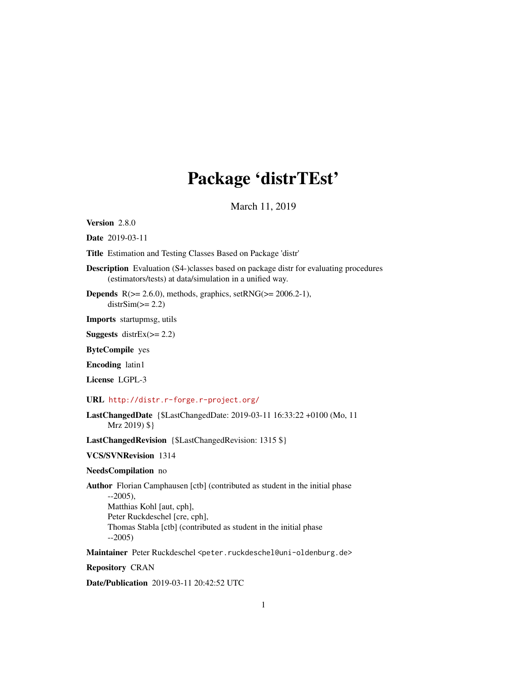## Package 'distrTEst'

March 11, 2019

<span id="page-0-0"></span>Version 2.8.0

Date 2019-03-11

Title Estimation and Testing Classes Based on Package 'distr'

Description Evaluation (S4-)classes based on package distr for evaluating procedures (estimators/tests) at data/simulation in a unified way.

**Depends**  $R$ ( $>= 2.6.0$ ), methods, graphics, set $RNG$ ( $>= 2006.2-1$ ),  $distrSim(>= 2.2)$ 

Imports startupmsg, utils

**Suggests** distrEx $(>= 2.2)$ 

ByteCompile yes

Encoding latin1

License LGPL-3

#### URL <http://distr.r-forge.r-project.org/>

LastChangedDate {\$LastChangedDate: 2019-03-11 16:33:22 +0100 (Mo, 11 Mrz 2019) \$}

LastChangedRevision {\$LastChangedRevision: 1315 \$}

VCS/SVNRevision 1314

#### NeedsCompilation no

Author Florian Camphausen [ctb] (contributed as student in the initial phase --2005), Matthias Kohl [aut, cph], Peter Ruckdeschel [cre, cph], Thomas Stabla [ctb] (contributed as student in the initial phase --2005)

Maintainer Peter Ruckdeschel <peter.ruckdeschel@uni-oldenburg.de>

Repository CRAN

Date/Publication 2019-03-11 20:42:52 UTC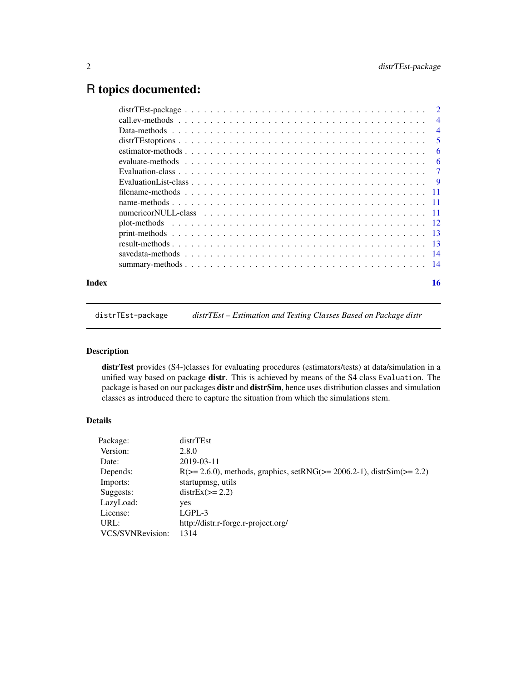## <span id="page-1-0"></span>R topics documented:

| Index | 16             |
|-------|----------------|
|       |                |
|       |                |
|       |                |
|       |                |
|       |                |
|       |                |
|       |                |
|       |                |
|       |                |
|       |                |
|       | -6             |
|       | -6             |
|       | 5              |
|       | $\overline{4}$ |
|       |                |
|       |                |

#### distrTEst-package *distrTEst – Estimation and Testing Classes Based on Package distr*

## Description

distrTest provides (S4-)classes for evaluating procedures (estimators/tests) at data/simulation in a unified way based on package distr. This is achieved by means of the S4 class Evaluation. The package is based on our packages distr and distrSim, hence uses distribution classes and simulation classes as introduced there to capture the situation from which the simulations stem.

## Details

| Package:         | distrTEst                                                                       |
|------------------|---------------------------------------------------------------------------------|
| Version:         | 2.8.0                                                                           |
| Date:            | 2019-03-11                                                                      |
| Depends:         | $R(>= 2.6.0)$ , methods, graphics, set $RNG(>= 2006.2-1)$ , distr $Sim(>= 2.2)$ |
| Imports:         | startupmsg, utils                                                               |
| Suggests:        | $distEx(>= 2.2)$                                                                |
| LazyLoad:        | yes                                                                             |
| License:         | LGPL-3                                                                          |
| URL:             | http://distr.r-forge.r-project.org/                                             |
| VCS/SVNRevision: | 1314                                                                            |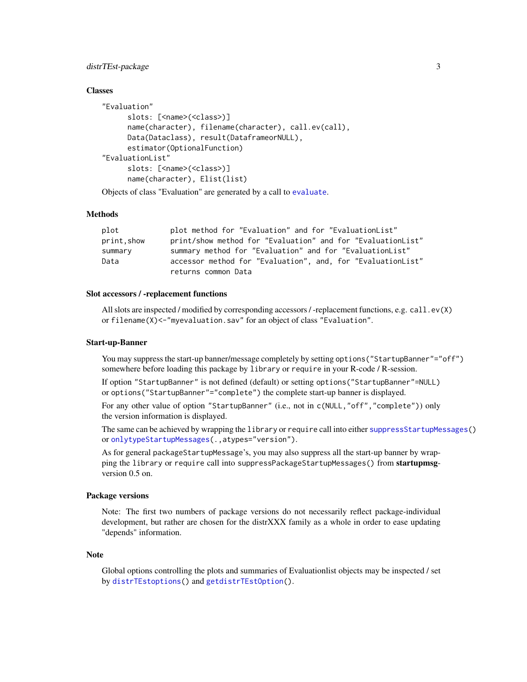## <span id="page-2-0"></span>distrTEst-package 3

#### **Classes**

```
"Evaluation"
      slots: [<name>(<class>)]
      name(character), filename(character), call.ev(call),
      Data(Dataclass), result(DataframeorNULL),
      estimator(OptionalFunction)
"EvaluationList"
      slots: [<name>(<class>)]
      name(character), Elist(list)
Objects of class "Evaluation" are generated by a call to evaluate.
```
## **Methods**

| plot        | plot method for "Evaluation" and for "EvaluationList"       |
|-------------|-------------------------------------------------------------|
| print, show | print/show method for "Evaluation" and for "EvaluationList" |
| summary     | summary method for "Evaluation" and for "EvaluationList"    |
| Data        | accessor method for "Evaluation", and, for "EvaluationList" |
|             | returns common Data                                         |

#### Slot accessors / -replacement functions

All slots are inspected / modified by corresponding accessors / -replacement functions, e.g. call.ev(X) or filename(X)<-"myevaluation.sav" for an object of class "Evaluation".

#### Start-up-Banner

You may suppress the start-up banner/message completely by setting options("StartupBanner"="off") somewhere before loading this package by library or require in your R-code / R-session.

If option "StartupBanner" is not defined (default) or setting options("StartupBanner"=NULL) or options("StartupBanner"="complete") the complete start-up banner is displayed.

For any other value of option "StartupBanner" (i.e., not in c(NULL,"off","complete")) only the version information is displayed.

The same can be achieved by wrapping the library or require call into either [suppressStartupMessages\(](#page-0-0)) or [onlytypeStartupMessages\(](#page-0-0).,atypes="version").

As for general packageStartupMessage's, you may also suppress all the start-up banner by wrapping the library or require call into suppressPackageStartupMessages() from startupmsgversion 0.5 on.

#### Package versions

Note: The first two numbers of package versions do not necessarily reflect package-individual development, but rather are chosen for the distrXXX family as a whole in order to ease updating "depends" information.

#### **Note**

Global options controlling the plots and summaries of Evaluationlist objects may be inspected / set by [distrTEstoptions\(](#page-4-1)) and [getdistrTEstOption\(](#page-4-2)).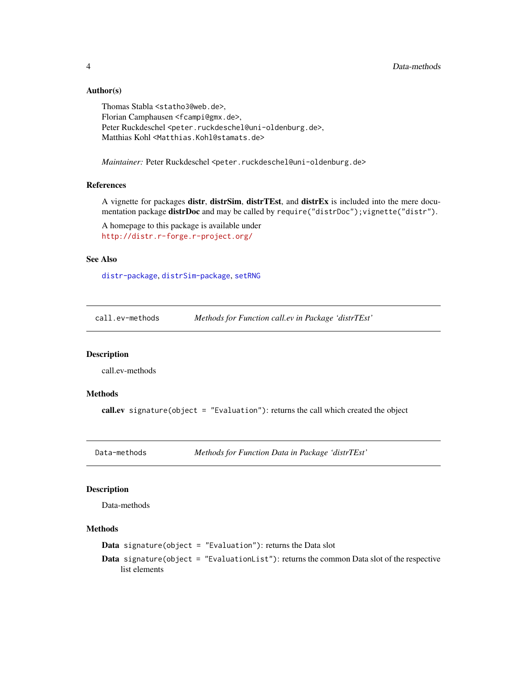## Author(s)

Thomas Stabla <statho3@web.de>, Florian Camphausen <fcampi@gmx.de>, Peter Ruckdeschel <peter.ruckdeschel@uni-oldenburg.de>, Matthias Kohl <Matthias.Kohl@stamats.de>

*Maintainer:* Peter Ruckdeschel <peter.ruckdeschel@uni-oldenburg.de>

## References

A vignette for packages distr, distrSim, distrTEst, and distrEx is included into the mere documentation package distrDoc and may be called by require("distrDoc"); vignette("distr").

A homepage to this package is available under <http://distr.r-forge.r-project.org/>

#### See Also

[distr-package](#page-0-0), [distrSim-package](#page-0-0), [setRNG](#page-0-0)

call.ev-methods *Methods for Function call.ev in Package 'distrTEst'*

## **Description**

call.ev-methods

## Methods

call.ev signature(object = "Evaluation"): returns the call which created the object

Data-methods *Methods for Function Data in Package 'distrTEst'*

## Description

Data-methods

## Methods

**Data** signature(object = "Evaluation"): returns the Data slot

Data signature(object = "EvaluationList"): returns the common Data slot of the respective list elements

<span id="page-3-0"></span>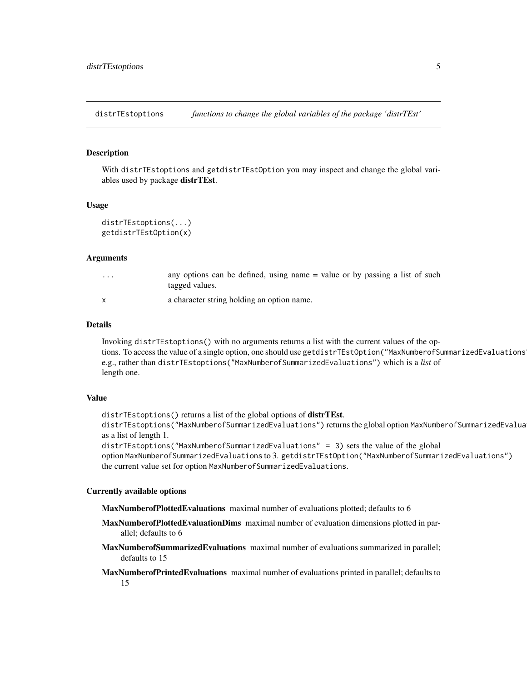<span id="page-4-1"></span><span id="page-4-0"></span>distrTEstoptions *functions to change the global variables of the package 'distrTEst'*

#### <span id="page-4-2"></span>Description

With distrTEstoptions and getdistrTEstOption you may inspect and change the global variables used by package distrTEst.

#### Usage

```
distrTEstoptions(...)
getdistrTEstOption(x)
```
#### Arguments

| $\cdot$ $\cdot$ $\cdot$ | any options can be defined, using name = value or by passing a list of such<br>tagged values. |
|-------------------------|-----------------------------------------------------------------------------------------------|
|                         | a character string holding an option name.                                                    |

#### Details

Invoking distrTEstoptions() with no arguments returns a list with the current values of the options. To access the value of a single option, one should use getdistrTEstOption("MaxNumberofSummarizedEvaluations e.g., rather than distrTEstoptions("MaxNumberofSummarizedEvaluations") which is a *list* of length one.

#### Value

distrTEstoptions() returns a list of the global options of distrTEst.

distrTEstoptions("MaxNumberofSummarizedEvaluations") returns the global option MaxNumberofSummarizedEvalua as a list of length 1.

distrTEstoptions("MaxNumberofSummarizedEvaluations" = 3) sets the value of the global option MaxNumberofSummarizedEvaluations to 3. getdistrTEstOption("MaxNumberofSummarizedEvaluations") the current value set for option MaxNumberofSummarizedEvaluations.

#### Currently available options

MaxNumberofPlottedEvaluations maximal number of evaluations plotted; defaults to 6

- MaxNumberofPlottedEvaluationDims maximal number of evaluation dimensions plotted in parallel; defaults to 6
- MaxNumberofSummarizedEvaluations maximal number of evaluations summarized in parallel; defaults to 15

MaxNumberofPrintedEvaluations maximal number of evaluations printed in parallel; defaults to 15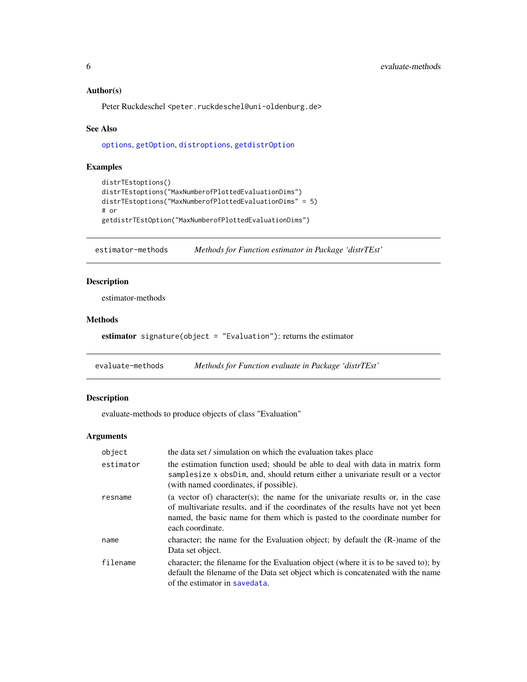## <span id="page-5-0"></span>Author(s)

Peter Ruckdeschel <peter.ruckdeschel@uni-oldenburg.de>

#### See Also

[options](#page-0-0), [getOption](#page-0-0), [distroptions](#page-0-0), [getdistrOption](#page-0-0)

## Examples

```
distrTEstoptions()
distrTEstoptions("MaxNumberofPlottedEvaluationDims")
distrTEstoptions("MaxNumberofPlottedEvaluationDims" = 5)
# or
getdistrTEstOption("MaxNumberofPlottedEvaluationDims")
```
estimator-methods *Methods for Function estimator in Package 'distrTEst'*

## Description

estimator-methods

#### Methods

```
estimator signature(object = "Evaluation"): returns the estimator
```
evaluate-methods *Methods for Function evaluate in Package 'distrTEst'*

## <span id="page-5-1"></span>Description

evaluate-methods to produce objects of class "Evaluation"

## Arguments

| object    | the data set / simulation on which the evaluation takes place                                                                                                                                                                                                          |
|-----------|------------------------------------------------------------------------------------------------------------------------------------------------------------------------------------------------------------------------------------------------------------------------|
| estimator | the estimation function used; should be able to deal with data in matrix form<br>samplesize x obsDim, and, should return either a univariate result or a vector<br>(with named coordinates, if possible).                                                              |
| resname   | (a vector of) character(s); the name for the univariate results or, in the case<br>of multivariate results, and if the coordinates of the results have not yet been<br>named, the basic name for them which is pasted to the coordinate number for<br>each coordinate. |
| name      | character; the name for the Evaluation object; by default the (R-)name of the<br>Data set object.                                                                                                                                                                      |
| filename  | character; the filename for the Evaluation object (where it is to be saved to); by<br>default the filename of the Data set object which is concatenated with the name<br>of the estimator in savedata.                                                                 |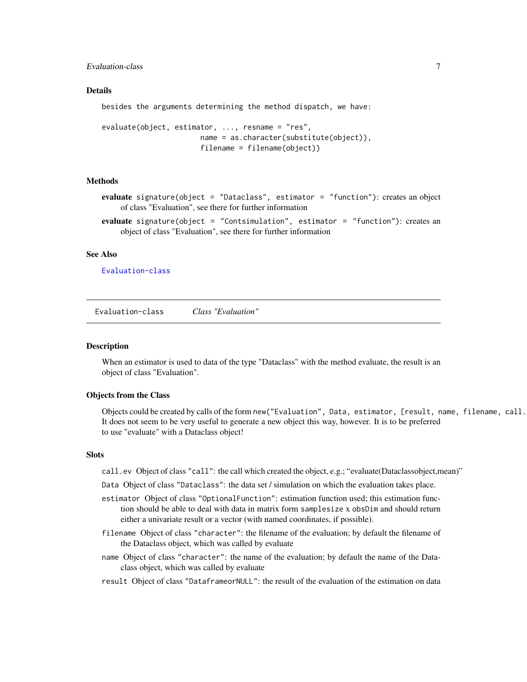<span id="page-6-0"></span>Evaluation-class 7

#### Details

besides the arguments determining the method dispatch, we have:

```
evaluate(object, estimator, ..., resname = "res",
                       name = as.character(substitute(object)),
                       filename = filename(object))
```
#### Methods

evaluate signature(object = "Dataclass", estimator = "function"): creates an object of class "Evaluation", see there for further information

evaluate signature(object = "Contsimulation", estimator = "function"): creates an object of class "Evaluation", see there for further information

#### See Also

[Evaluation-class](#page-6-1)

<span id="page-6-1"></span>Evaluation-class *Class "Evaluation"*

#### Description

When an estimator is used to data of the type "Dataclass" with the method evaluate, the result is an object of class "Evaluation".

#### Objects from the Class

Objects could be created by calls of the form new("Evaluation", Data, estimator, [result, name, filename, call. It does not seem to be very useful to generate a new object this way, however. It is to be preferred to use "evaluate" with a Dataclass object!

## **Slots**

- call.ev Object of class "call": the call which created the object, e.g.; "evaluate(Dataclassobject,mean)"
- Data Object of class "Dataclass": the data set / simulation on which the evaluation takes place.
- estimator Object of class "OptionalFunction": estimation function used; this estimation function should be able to deal with data in matrix form samplesize x obsDim and should return either a univariate result or a vector (with named coordinates, if possible).
- filename Object of class "character": the filename of the evaluation; by default the filename of the Dataclass object, which was called by evaluate
- name Object of class "character": the name of the evaluation; by default the name of the Dataclass object, which was called by evaluate
- result Object of class "DataframeorNULL": the result of the evaluation of the estimation on data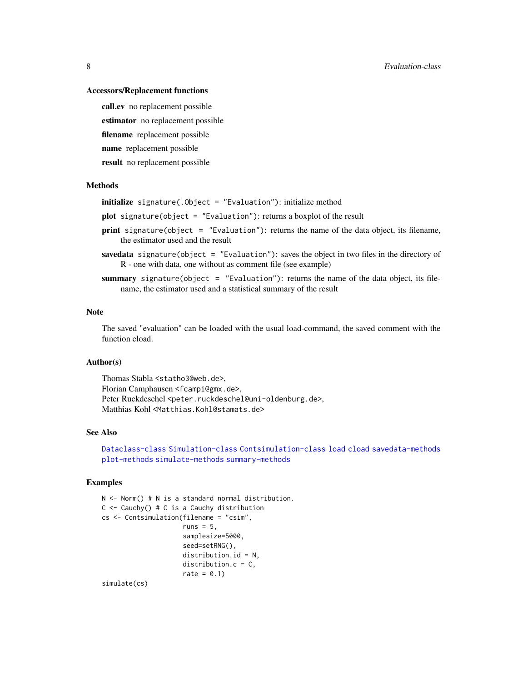#### <span id="page-7-0"></span>Accessors/Replacement functions

call.ev no replacement possible estimator no replacement possible filename replacement possible name replacement possible result no replacement possible

#### Methods

initialize signature(.Object = "Evaluation"): initialize method

- plot signature(object = "Evaluation"): returns a boxplot of the result
- print signature(object = "Evaluation"): returns the name of the data object, its filename, the estimator used and the result
- savedata signature(object = "Evaluation"): saves the object in two files in the directory of R - one with data, one without as comment file (see example)
- summary signature(object = "Evaluation"): returns the name of the data object, its filename, the estimator used and a statistical summary of the result

## Note

The saved "evaluation" can be loaded with the usual load-command, the saved comment with the function cload.

## Author(s)

Thomas Stabla <statho3@web.de>, Florian Camphausen <fcampi@gmx.de>, Peter Ruckdeschel <peter.ruckdeschel@uni-oldenburg.de>, Matthias Kohl <Matthias.Kohl@stamats.de>

#### See Also

[Dataclass-class](#page-0-0) [Simulation-class](#page-0-0) [Contsimulation-class](#page-0-0) [load](#page-0-0) [cload](#page-0-0) [savedata-methods](#page-13-2) [plot-methods](#page-11-1) [simulate-methods](#page-0-0) [summary-methods](#page-13-3)

#### Examples

```
N <- Norm() # N is a standard normal distribution.
C \leftarrow Cauchy() # C is a Cauchy distribution
cs <- Contsimulation(filename = "csim",
                      runs = 5,
                      samplesize=5000,
                      seed=setRNG(),
                      distribution.id = N,
                      distribution.c = C,
                      rate = 0.1)
simulate(cs)
```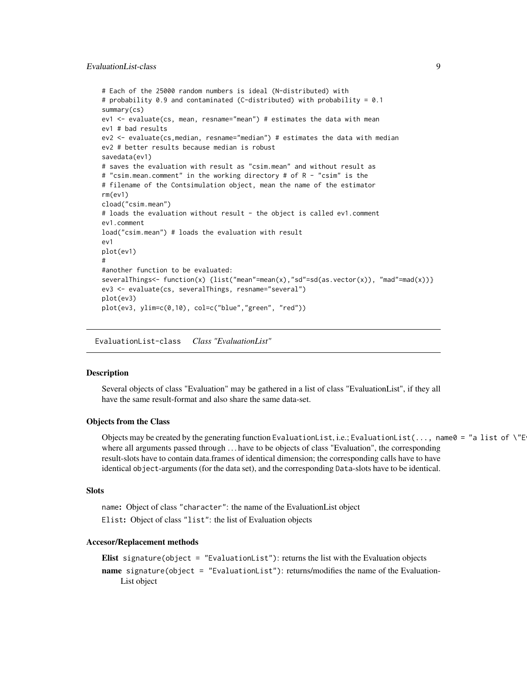## <span id="page-8-0"></span>EvaluationList-class 9

```
# Each of the 25000 random numbers is ideal (N-distributed) with
# probability 0.9 and contaminated (C-distributed) with probability = 0.1
summary(cs)
ev1 <- evaluate(cs, mean, resname="mean") # estimates the data with mean
ev1 # bad results
ev2 <- evaluate(cs,median, resname="median") # estimates the data with median
ev2 # better results because median is robust
savedata(ev1)
# saves the evaluation with result as "csim.mean" and without result as
# "csim.mean.comment" in the working directory # of R - "csim" is the
# filename of the Contsimulation object, mean the name of the estimator
rm(ev1)
cload("csim.mean")
# loads the evaluation without result - the object is called ev1.comment
ev1.comment
load("csim.mean") # loads the evaluation with result
ev1
plot(ev1)
#
#another function to be evaluated:
severalThings<- function(x) {list("mean"=mean(x),"sd"=sd(as.vector(x)), "mad"=mad(x))}
ev3 <- evaluate(cs, severalThings, resname="several")
plot(ev3)
plot(ev3, ylim=c(0,10), col=c("blue","green", "red"))
```
EvaluationList-class *Class "EvaluationList"*

#### Description

Several objects of class "Evaluation" may be gathered in a list of class "EvaluationList", if they all have the same result-format and also share the same data-set.

#### Objects from the Class

Objects may be created by the generating function EvaluationList, i.e.; EvaluationList(..., name0 = "a list of \"E where all arguments passed through ... have to be objects of class "Evaluation", the corresponding result-slots have to contain data.frames of identical dimension; the corresponding calls have to have identical object-arguments (for the data set), and the corresponding Data-slots have to be identical.

#### Slots

name: Object of class "character": the name of the EvaluationList object Elist: Object of class "list": the list of Evaluation objects

#### Accesor/Replacement methods

```
Elist signature(object = "EvaluationList"): returns the list with the Evaluation objects
name signature(object = "EvaluationList"): returns/modifies the name of the Evaluation-
    List object
```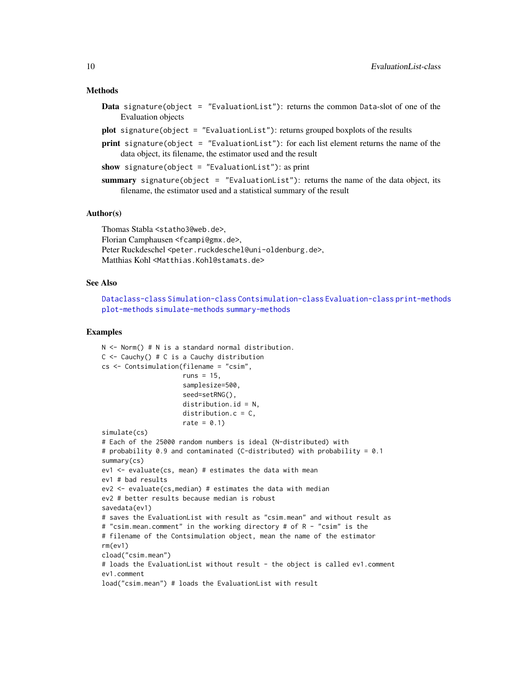#### Methods

- Data signature(object = "EvaluationList"): returns the common Data-slot of one of the Evaluation objects
- plot signature(object = "EvaluationList"): returns grouped boxplots of the results
- **print** signature(object = "EvaluationList"): for each list element returns the name of the data object, its filename, the estimator used and the result

show signature(object = "EvaluationList"): as print

summary signature(object = "EvaluationList"): returns the name of the data object, its filename, the estimator used and a statistical summary of the result

#### Author(s)

Thomas Stabla <statho3@web.de>, Florian Camphausen <fcampi@gmx.de>, Peter Ruckdeschel <peter.ruckdeschel@uni-oldenburg.de>, Matthias Kohl <Matthias.Kohl@stamats.de>

#### See Also

[Dataclass-class](#page-0-0) [Simulation-class](#page-0-0) [Contsimulation-class](#page-0-0) [Evaluation-class](#page-6-1) [print-methods](#page-12-1) [plot-methods](#page-11-1) [simulate-methods](#page-0-0) [summary-methods](#page-13-3)

#### Examples

```
N <- Norm() # N is a standard normal distribution.
C \leftarrow Cauchy() # C is a Cauchy distribution
cs <- Contsimulation(filename = "csim",
                     runs = 15,
                     samplesize=500,
                     seed=setRNG(),
                     distribution.id = N,
                     distribution.c = C,
                     rate = 0.1)
simulate(cs)
# Each of the 25000 random numbers is ideal (N-distributed) with
# probability 0.9 and contaminated (C-distributed) with probability = 0.1
summary(cs)
ev1 \le evaluate(cs, mean) # estimates the data with mean
ev1 # bad results
ev2 <- evaluate(cs,median) # estimates the data with median
ev2 # better results because median is robust
savedata(ev1)
# saves the EvaluationList with result as "csim.mean" and without result as
# "csim.mean.comment" in the working directory # of R - "csim" is the
# filename of the Contsimulation object, mean the name of the estimator
rm(ev1)
cload("csim.mean")
# loads the EvaluationList without result - the object is called ev1.comment
ev1.comment
load("csim.mean") # loads the EvaluationList with result
```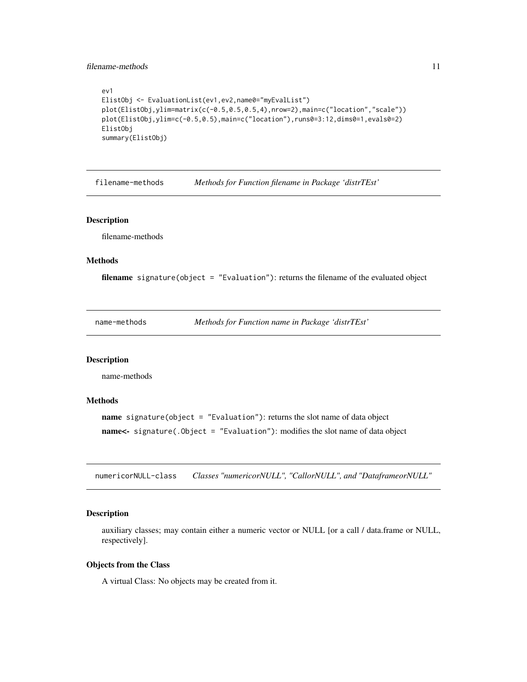#### <span id="page-10-0"></span>filename-methods 11

```
ev1
ElistObj <- EvaluationList(ev1,ev2,name0="myEvalList")
plot(ElistObj,ylim=matrix(c(-0.5,0.5,0.5,4),nrow=2),main=c("location","scale"))
plot(ElistObj,ylim=c(-0.5,0.5),main=c("location"),runs0=3:12,dims0=1,evals0=2)
ElistObj
summary(ElistObj)
```
filename-methods *Methods for Function filename in Package 'distrTEst'*

#### Description

filename-methods

## Methods

filename signature(object = "Evaluation"): returns the filename of the evaluated object

name-methods *Methods for Function name in Package 'distrTEst'*

## Description

name-methods

#### Methods

name signature(object = "Evaluation"): returns the slot name of data object name<- signature(.Object = "Evaluation"): modifies the slot name of data object

numericorNULL-class *Classes "numericorNULL", "CallorNULL", and "DataframeorNULL"*

#### Description

auxiliary classes; may contain either a numeric vector or NULL [or a call / data.frame or NULL, respectively].

#### Objects from the Class

A virtual Class: No objects may be created from it.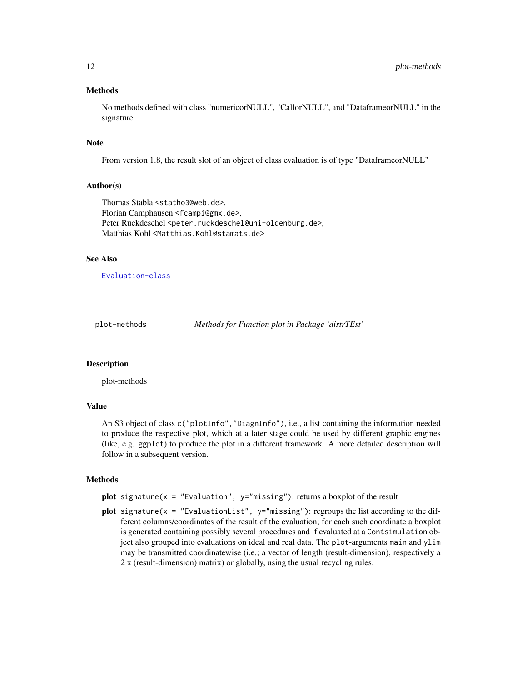#### Methods

No methods defined with class "numericorNULL", "CallorNULL", and "DataframeorNULL" in the signature.

#### Note

From version 1.8, the result slot of an object of class evaluation is of type "DataframeorNULL"

#### Author(s)

Thomas Stabla <statho3@web.de>, Florian Camphausen <fcampi@gmx.de>, Peter Ruckdeschel <peter.ruckdeschel@uni-oldenburg.de>, Matthias Kohl <Matthias.Kohl@stamats.de>

#### See Also

## [Evaluation-class](#page-6-1)

<span id="page-11-1"></span>

plot-methods *Methods for Function plot in Package 'distrTEst'*

## **Description**

plot-methods

## Value

An S3 object of class c("plotInfo","DiagnInfo"), i.e., a list containing the information needed to produce the respective plot, which at a later stage could be used by different graphic engines (like, e.g. ggplot) to produce the plot in a different framework. A more detailed description will follow in a subsequent version.

#### Methods

plot signature( $x =$  "Evaluation",  $y =$ "missing"): returns a boxplot of the result

plot signature( $x =$  "EvaluationList",  $y =$ "missing"): regroups the list according to the different columns/coordinates of the result of the evaluation; for each such coordinate a boxplot is generated containing possibly several procedures and if evaluated at a Contsimulation object also grouped into evaluations on ideal and real data. The plot-arguments main and ylim may be transmitted coordinatewise (i.e.; a vector of length (result-dimension), respectively a 2 x (result-dimension) matrix) or globally, using the usual recycling rules.

<span id="page-11-0"></span>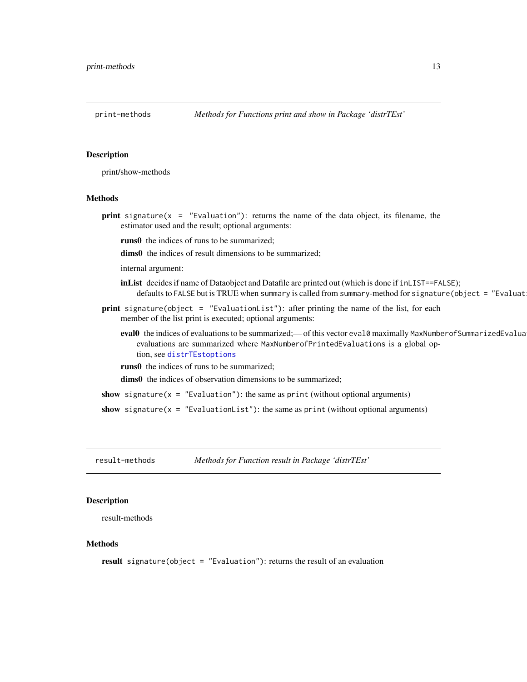<span id="page-12-1"></span><span id="page-12-0"></span>

## Description

print/show-methods

## Methods

**print** signature( $x =$  "Evaluation"): returns the name of the data object, its filename, the estimator used and the result; optional arguments:

runs0 the indices of runs to be summarized;

dims0 the indices of result dimensions to be summarized;

internal argument:

inList decides if name of Dataobject and Datafile are printed out (which is done if inLIST==FALSE); defaults to FALSE but is TRUE when summary is called from summary-method for signature (object = "Evaluat

print signature(object = "EvaluationList"): after printing the name of the list, for each member of the list print is executed; optional arguments:

eval0 the indices of evaluations to be summarized; - of this vector eval0 maximally MaxNumberofSummarizedEvalua evaluations are summarized where MaxNumberofPrintedEvaluations is a global option, see [distrTEstoptions](#page-4-1)

runs0 the indices of runs to be summarized;

dims0 the indices of observation dimensions to be summarized;

show signature( $x =$  "Evaluation"): the same as print (without optional arguments)

show signature( $x =$  "EvaluationList"): the same as print (without optional arguments)

result-methods *Methods for Function result in Package 'distrTEst'*

#### Description

result-methods

## Methods

result signature(object = "Evaluation"): returns the result of an evaluation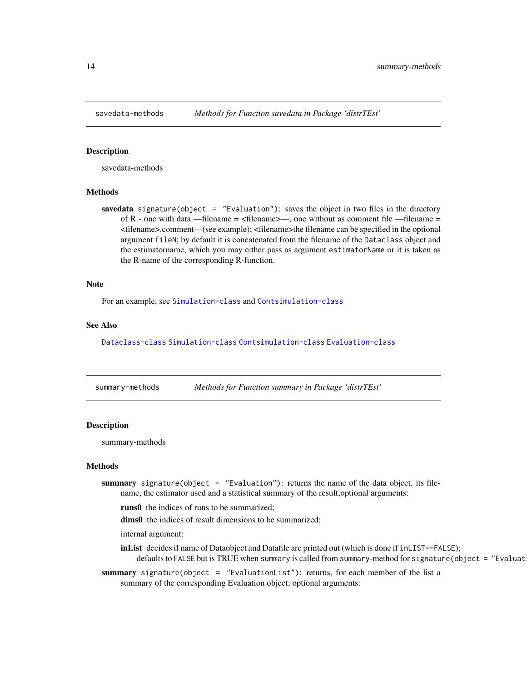<span id="page-13-2"></span><span id="page-13-0"></span>

## <span id="page-13-1"></span>**Description**

savedata-methods

#### Methods

savedata signature(object = "Evaluation"): saves the object in two files in the directory of R - one with data —filename =  $\langle$  filename  $\rangle$ —, one without as comment file —filename = <filename>.comment—(see example); <filename>the filename can be specified in the optional argument fileN; by default it is concatenated from the filename of the Dataclass object and the estimatorname, which you may either pass as argument estimatorName or it is taken as the R-name of the corresponding R-function.

## Note

For an example, see [Simulation-class](#page-0-0) and [Contsimulation-class](#page-0-0)

#### See Also

[Dataclass-class](#page-0-0) [Simulation-class](#page-0-0) [Contsimulation-class](#page-0-0) [Evaluation-class](#page-6-1)

<span id="page-13-3"></span>

| summary-methods | Methods for Function summary in Package 'distrTEst' |  |
|-----------------|-----------------------------------------------------|--|
|                 |                                                     |  |

## Description

summary-methods

#### Methods

- summary signature(object = "Evaluation"): returns the name of the data object, its filename, the estimator used and a statistical summary of the result;optional arguments:
	- runs0 the indices of runs to be summarized;
	- dims0 the indices of result dimensions to be summarized;
	- internal argument:
	- inList decides if name of Dataobject and Datafile are printed out (which is done if inLIST==FALSE); defaults to FALSE but is TRUE when summary is called from summary-method for signature (object = "Evaluat
- summary signature(object = "EvaluationList"): returns, for each member of the list a summary of the corresponding Evaluation object; optional arguments: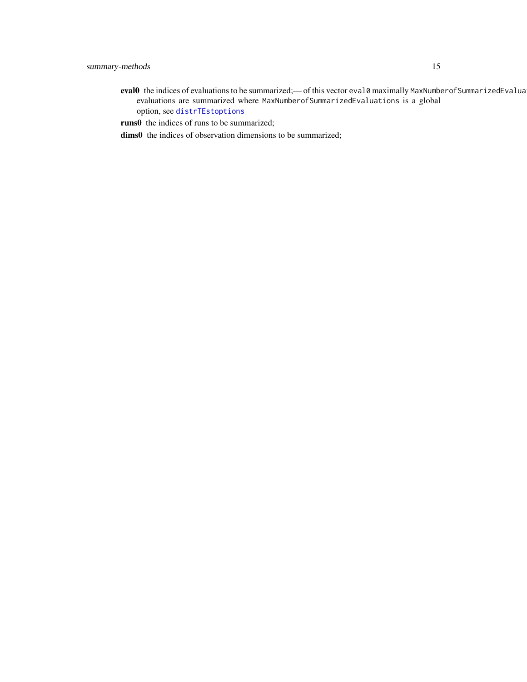- <span id="page-14-0"></span>eval0 the indices of evaluations to be summarized;- of this vector eval0 maximally MaxNumberofSummarizedEvalua evaluations are summarized where MaxNumberofSummarizedEvaluations is a global option, see [distrTEstoptions](#page-4-1)
- runs0 the indices of runs to be summarized;
- dims0 the indices of observation dimensions to be summarized;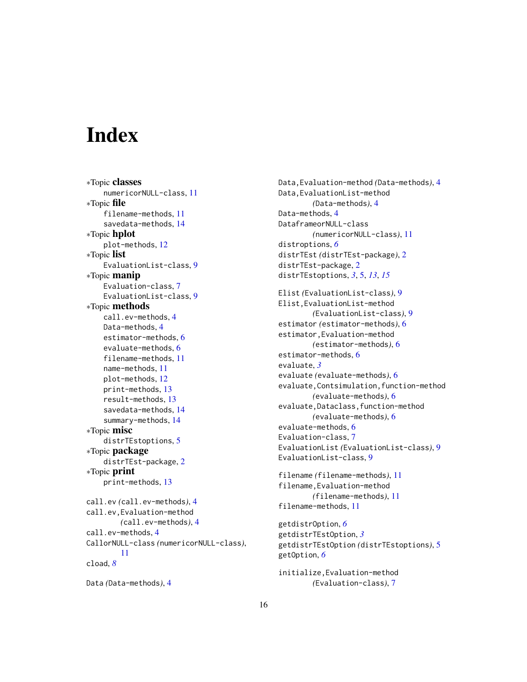# <span id="page-15-0"></span>Index

∗Topic classes numericorNULL-class, [11](#page-10-0) ∗Topic file filename-methods, [11](#page-10-0) savedata-methods, [14](#page-13-0) ∗Topic hplot plot-methods, [12](#page-11-0) ∗Topic list EvaluationList-class, [9](#page-8-0) ∗Topic manip Evaluation-class, [7](#page-6-0) EvaluationList-class, [9](#page-8-0) ∗Topic methods call.ev-methods, [4](#page-3-0) Data-methods, [4](#page-3-0) estimator-methods, [6](#page-5-0) evaluate-methods, [6](#page-5-0) filename-methods, [11](#page-10-0) name-methods, [11](#page-10-0) plot-methods, [12](#page-11-0) print-methods, [13](#page-12-0) result-methods, [13](#page-12-0) savedata-methods, [14](#page-13-0) summary-methods, [14](#page-13-0) ∗Topic misc distrTEstoptions, [5](#page-4-0) ∗Topic package distrTEst-package, [2](#page-1-0) ∗Topic print print-methods, [13](#page-12-0) call.ev *(*call.ev-methods*)*, [4](#page-3-0) call.ev,Evaluation-method *(*call.ev-methods*)*, [4](#page-3-0) call.ev-methods, [4](#page-3-0) CallorNULL-class *(*numericorNULL-class*)*, [11](#page-10-0) cload, *[8](#page-7-0)* Data *(*Data-methods*)*, [4](#page-3-0)

```
Data,Evaluation-method (Data-methods), 4
Data,EvaluationList-method
        (Data-methods), 4
Data-methods, 4
DataframeorNULL-class
        (numericorNULL-class), 11
distroptions, 6
distrTEst (distrTEst-package), 2
distrTEst-package, 2
distrTEstoptions, 3, 5, 13, 15
```

```
Elist (EvaluationList-class), 9
Elist,EvaluationList-method
        (EvaluationList-class), 9
estimator (estimator-methods), 6
estimator,Evaluation-method
        (estimator-methods), 6
estimator-methods, 6
evaluate, 3
evaluate (evaluate-methods), 6
evaluate,Contsimulation,function-method
        (evaluate-methods), 6
evaluate,Dataclass,function-method
        (evaluate-methods), 6
evaluate-methods, 6
Evaluation-class, 7
EvaluationList (EvaluationList-class), 9
EvaluationList-class, 9
```

```
filename (filename-methods), 11
filename,Evaluation-method
        (filename-methods), 11
filename-methods, 11
```

```
getdistrOption, 6
getdistrTEstOption, 3
getdistrTEstOption (distrTEstoptions), 5
getOption, 6
```
initialize,Evaluation-method *(*Evaluation-class*)*, [7](#page-6-0)